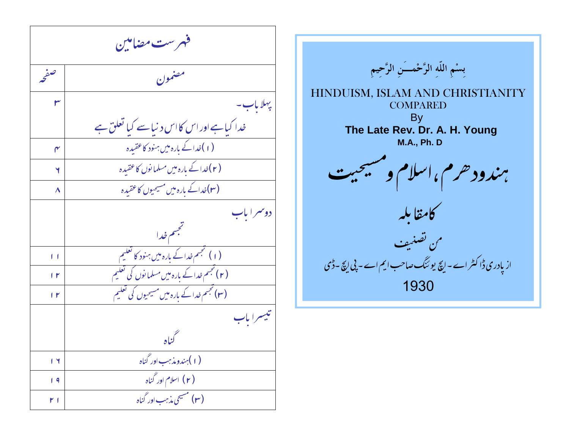مرست مضامین فهرست مضام  $\overline{c}$ ۶ موا . l. مصنع  $\mathcal{L}$ صخ پہلا باب۔ را کیاہے اور اس کااس د نیاسے کیا تعلق ہے لیاہے اور اس کااس د نیا سے کی<u>ا</u> خدا کیاہے اور اس کااس د نیاسے ک  $\mathsf{r}$ (۱)خدا کے بارہ میں ہنود کاعقبیدہ خدا کے بارہ میں ہنود کاعقیدہ ( ۲ )خدا کے بارہ میں مسلما نوں کا عقیدہ غدا کے بارہ میں مسلما نوں کا عقیدہ (۳)خداکے بارہ میں مسیحیوں کاعقیدہ مە<br>مە غداکے بارہ میں مسیحیوں کاعقیدہ <mark>ک</mark>ا م دوسمرا باب مجسم خدا ÿ () \* \$ تجسم خدا کے بارہ میں ہنود کا تعلیم .<br>باره میں ہنود کا ت میں ہینا خدا کے بارہ میں ہنود کا تعلیم ( ۲ ) تجسم خدا کے بارہ میں مسلما نوں کی تعلیم ۔<br>مجسم خدا کے با + ,  $\mathsf{I}$ (۳) تجسم خدا کے بارہ میں مسیحیوں کی تعلیم ä  $\mathbf{r}$ تيسرا باب ے<br>کناہ (۱) به ندوید <sup>به</sup>ب اور گناه به استفاده استفاده استفاده استفاده باشد و میشود که استفاده استفاده باشد که استفاده ب **( ۲)** اسلام اور گناه  $\begin{array}{ccc} \textsf{1} & \textsf{9} & \textsf{1} \end{array}$ (**۳)** مسیحی مذہب اور گناہ  $r_{\parallel}$ 

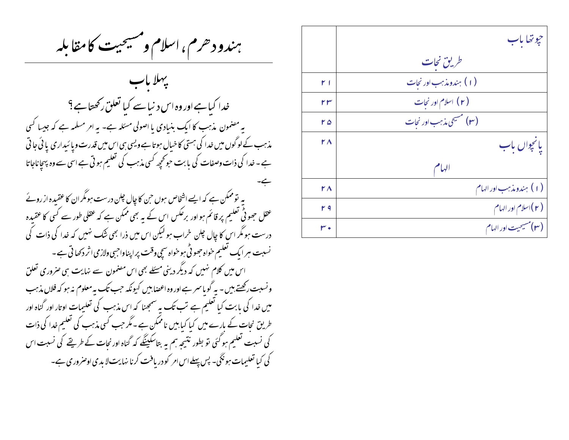بهندود حرم، اسلام ومسيحيت كامقابله

خدا کیاہے اور وہ اس دینیاسے کیا تعلق رکھتاہے؟ یہ مضمون مذہب کا ایک بنیادی یا اصولی مسئلہ ہے۔ یہ امر مسلمہ ہے کہ جیسا کسی مذہب کے لوگوں میں خدا کی ہستی کا خیال ہوتا ہے ویسی ہی اس میں قدرت ویا ئیداری یا ئی جا تی ہے ۔ خدا کی ذات وصفات کی یا بت حوتحچیہ کسی مذہب کی تعلیم ہو تی ہے اسی سے وہ پہچاناجاتا یہ تو ممکن ہے کہ ایسے اشخاص ہوں حن کا چال چلن درست ہومگر ان کا عقیدہ از روئے عقل جھو ٹی تعلیم پر قائم ہواور برعکس اس کے بہ بھی ممکن ہے کہ عقلی طور سے کسی کا عقیدہ درست ہو مگر اس کا چال جلن خراب ہو لیکن اس میں ذرا بھی شک نہیں کہ خدا کی ذات کی نسبت ہر ایک تعلیم خواہ جھو ٹی ہوخواہ سیچ وقت پراپناواجبی ولازمی اثر دکھا تی ہے ۔ اس میں کلام نہیں کہ دیگر دینی مسئلے بھی اس مصنمون سے نہایت ہی صروری تعلق ونسبت رکھتے ہیں - یہ گو ماسمر ہے اور وہ اعصابیں کیونکہ حب تک یہ معلوم نہ ہو کہ فلاں مذہب میں خدا کی بابت کیا تعلیم ہے تب تک یہ سمجھنا کہ اس مذہب کی تعلیمات اوتار اور گناہ اور طریق نحات کے بارے میں کیا کیا بیں ناممکن ہے۔مگر جب کسی مذہب کی تعلیم خدا کی ذات کی نسبت تعلیم ہو گئی تو بطور نتیجہ ہم یہ بتاسکینگے کہ گناہ اور نحات کے طریقے کی نسبت اس کی کیا تعلیمات ہو نگی۔ پس پہلے اس امر کو دریافت کرنا نہایت لا بدی اوصروری ہے۔

|     | جوتھا باب                   |
|-----|-----------------------------|
|     | طریق نجات                   |
| ا ۲ | (۱) بندومذہب اور نجات       |
| ۲۳  | ( ۲ ) اسلام اور نجات        |
| ۲۵  | (۳) مسیحی مذہب اور نجات     |
| ۲۸  | يانجوال باب                 |
|     | الهام                       |
| ۲۸  | (۱) ہندومذہب اور الہام      |
| ۲۹  | (۲)اسلام اور الهام          |
| ۰ س | <b>(۳)</b> مسیحیت اور الہام |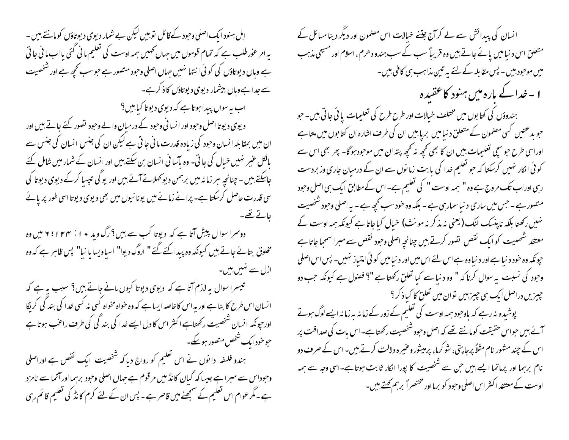اہل ہنود ایک اصلی وحود کےقائل توہیں لیکن بے شمار دیوی دیوتاؤں کو مانتے ہیں ۔ یہ امر عوٰرطلب ہے کہ تمام قوموں میں جہاں تھمیں ہمہ اوست کی تعلیم ما ٹی گئی یا اب ما ٹی جا تی ہے وہاں دیوتاؤں کی کوئی انتہا نہیں جہاں اصلی وحود متصور ہے حو سب کحچھ ہے اور شخصیت سے جدا ہے وہاں بیشمار دیوی دیوتاؤں کا ذکرہے۔ اب پہ سوال پیدا ہوتا ہے کہ دیوی دیوتا کیا بیں ؟ د یوی دیوتا اصل وحود اور ا نسا نی وحود کے درمیان والے وحود تصور کئے جاتے ہیں اور ان میں بمقابلہ انسان وحود کی زیادہ قدرت ما فی جا تی ہے لیکن ان کی جنس انسان کی جنس سے بالکل عنیر نہیں خیال کی جا تی۔ وہ بآسا فی انسان بن سکتے ہیں اور انسان کے شمار میں شامل کئے جاسکتے ہیں ۔ چنانچہ ہر زمانہ میں برہمن دیو کہلاتے آئے ہیں اور یو کی تپسیا کرکے دیوی دیوتا کی سی قدرت حاصل کرسکتا ہے۔ پرانے زمانے میں یونا نیوں میں بھی دیوی دیوتا اسی طور پر پائے جانے تھے۔ دوسرا سوال پیش آتا ہے کہ دیوتا کب سے بیں؟ رگ وید • ۱ : ۲۴ میں اوہ مخلوق بتائے جاتے ہیں کیونکہ وہ پیدا کئے گئے" اروگ دیوا" اسپاویسا یا نیا" پس ظاہر ہے کہ وہ ازل سے نہیں بیں۔ تبیسرا سوال بہ لازم آتا ہے کہ دیوی دیوتا کیوں مانے جاتے ہیں؟ سبب بہ ہے کہ انسان اس طرح کا بناہے اور ہہ اس کا خاصہ ایسا ہے کہ وہ خواہ مخواہ کسی نہ کسی خدا کی بند گی کریگا اور حیونکہ انسان شخصیت رکھتاہے اکثر اس کا دل ایسے خدا کی بند کی کی طرف راعب ہوتا ہے حبو خودا یک شخص منصور ہوسکے۔ ہندو فلسفہ دانوں نے اس تعلیم کو رواج دیاکہ شخصیت ایک نقص ہے اوراصلی وحوداس سے میبرا ہے جیسا کہ گیان کا نڈ میں مرقوم ہے حہاں اصلی وحود برہما اور آتما سے نامزد ہے۔مگر عوام اس تعلیم کے سمجھنے میں قاصر ہے ۔ پس ان کے لئے کرم کا نڈ کی تعلیم قائم رہی

انسان کی پیدائش سے لے کرآج جتنے خبالات اس مصنمون اور دیگر دینامسائل کے متعلق اس د نیامیں پائے جاتے ہیں وہ قریباً سب کے سب ہندو دھرم ، اسلام اور مسیحی مذہب میں موحبود بیں ۔ پس مقابلہ کے لئے یہ تین مذاہب ہی کافی بیں۔ ا ۔خدا کے بارہ میں ہنود کا عقیدہ بهندوؤں کی کتابوں میں مختلف خیالات اور طرح طرح کی تعلیمات یا ئی جاتی ہیں۔حبو حبو بدعتیں کسی مصنمون کے متعلق د نبامیں بریابیں ان کی طرف اشارہ ان کتا بوں میں ملتا ہے اوراسی طرح حبو سچی تعلیمات بیں ان کا بھی تحچھ نہ تحچھ پتہ ان میں موحبود ہوگا۔ بھر بھی اس سے کو ئی انکار نہیں کرسکتا کہ حبو تعلیم خدا کی بابت زمانوں سے ان کے درمیان جاری وزبردست رہی اوراب تک مروج ہے وہ " ہمہ اوست " کی تعلیم ہے۔اس کے مطابق ایک ہی اصل وحود متصور ہے ۔حبن میں ساری د نیاسمار ہی ہے ۔ بلکہ وہ خود سب کحچھ ہے ۔ ہہ اصلی وحبود شخصیت نہیں رکھتا بلکہ ناپنسک لنک (یعنی نہ مذ کر نہ مونث) خبال کباجاتا ہے کیونکہ ہمہ اوست کے معتقد شحصيت كوابك نقص تصور كرتے ہيں چنانچہ اصلی وحبود نقص سے مبرا سمجیا جاتا ہے چونکہ وہ خود د نیا ہے اور د نیاوہ ہے اس لئے اس میں اور د نیامیں کو ئی امتیاز نہیں۔ پس اس اصلی وحود کی نسبت پہ سوال کرنا کہ " وہ د نیا سے کیا تعلق رکھتا ہے "؟ فصول ہے کیونکہ جب دو چییزیں دراصل ایک ہی چیز بیں نوان میں تعلق کا کیا ذکر ؟ پوشیدہ نہ رہے کہ باوجود ہمہ اوست کی تعلیم کے زور کے زمانہ بہ زمانہ ایسے لوگ ہوتے آئے ہیں حواس حقیقت کومانتے تھے کہ اصل وحود شخصیت رکھتاہے۔اس بات کی صداقت پر اس کے چند مشور نام مثلاً پرجا پتی، شو کرما، پرمیشور وعنیرہ دلالت کرتے ہیں۔اس کے صرف دو نام برہما اور پرماتما ایسے بیں حن سے شخصیت کا پورا انکار ثابت ہوتاہے۔اسی وجہ سے ہمہ اوست کے معتقد اکثر اس اصلی وحبود کو برمااور مختصراً برہم کھتے ہیں۔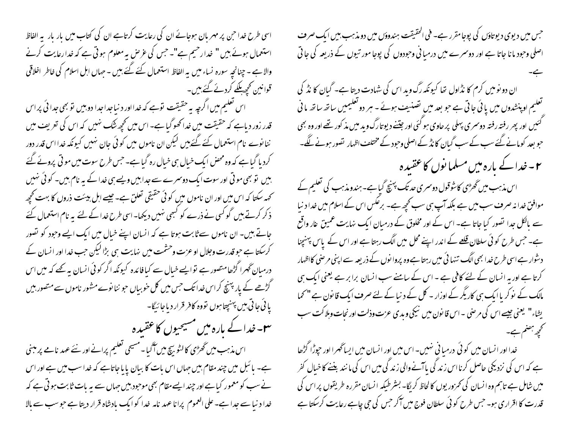اسی طرح خدا حبن پر مہر مان ہوجائے ان کی رعایت کرتاہے ان کی کتاب میں بار بار پہ الفاظ استعمال ہوئے ہیں " خدارحیم ہے"۔ حس کی عرص پہ معلوم ہوتی ہے کہ خدارعایت کرنے والا ہے - چنانچہ سورہ نساء میں یہ الفاظ استعمال کئے گئے بیں - جہاں ابل اسلام کی خاطر اخلاقی قوانین کچھ لگے کردئے گئے بیں۔

اس تعلیم میں اگرچہ یہ حقیقت نوہے کہ خدااور د نباجداجدا دو بیں نوبھی جدا ئی پراس قدر زور دیاہے کہ حقیقت میں خدا کھوگیا ہے۔ اس میں کچھ نٹک نہیں کہ اس کی تعریف میں ننا نوے نام استعمال کئے گئے بیں لیکن ان ناموں میں کوئی جان نہیں کیونکہ خدا اس قدر دور کرد پا گیا ہے کہ وہ محض ایک خیال ہی خیال رہ گیا ہے۔ جس طرح سوت میں موقی پرونے گئے بیں تو بھی مو تی اور سوت ایک دوسرے سے جدابیں ویے ہی خدا کے یہ نام بیں۔ کو ٹی نہیں تحمہ سکتا کہ اس میں اور ان ناموں میں کوئی حقیقی تعلق ہے۔ جیسے اہل بیئت ذروں کا بہت کھچھ ذکر کرتے ہیں گو کسی نے ذرے کو کسمی نہیں دیکھا۔اسی طرح خدا کے لئے یہ نام استعمال کئے جاتے بیں۔ ان ناموں سے ثابت ہوتا ہے کہ انسان اپنے خیال میں ایک ایسے وحود کو تصور کرسکتا ہے حبو قدرت وجلال او عزت وحشمت میں نہایت ہی بڑا لیکن جب خدا اور انسان کے درمیان ٹھرا گڑھامتصور ہے نوایسے خیال سے کیافائدہ کیونکہ اگر کوئی انسان یہ کھے کہ میں اس گڑھے کے یار پہنچ کراس خدا تک جس میں کل خوبیاں حو ننا نوے مشور ناموں سے متصور بیں یا ئی جا تی بیں پہنچتا ہوں تووہ کافر قرار دیاجا ئیگا-

**۳۔**خدا کے بارہ میں مسیحیوں کاعقبدہ

اس مذہب میں گھڑی کالٹو بیچ میں آگیا۔مسیحی تعلیم پرانے اور نئے عہد نامے پر مبنی ہے۔ بائبل میں چند مقام بیں جہاں اس بات کا بیان پایا جاتاہے کہ خداسب میں ہے اور اس نے سب کو معمور کیا ہے اور چند ایسے مقام بھی موحود بیں حہاں سے یہ بات ثابت ہو تی ہے کہ خدا د نبا سے جدا ہے۔ علی العموم پرانا عہد نامہ خدا کو ایک بادشاہ قرار دیتا ہے حو سب سے بالا

جس میں دیوی دیوتاؤں کی پوجامقرر ہے۔ فی الحقیقت ہندوؤں میں دومذہب بیں ایک صرف اصلی وحبود ما نا جاتا ہے اور دوسرے میں درمیانی وحبودوں کی پوجا مور تیوں کے ذریعہ کی جاتی ان دو نومیں کرم کا نڈاول تھا کیونکہ رگ وید اس کی شہادت دیتا ہے۔ گبان کا نڈ کی تعلیم اوپنشدوں میں یا ئی جاتی ہے جو بعد میں تصنی<sub>ش</sub>ت ہوئے ۔ ہر دو تعلیمیں ساتھ ساتھ ما فی گئیں اور پھر رفتہ رفتہ دوسری پہلی پر حاوی ہو گئی اور جیننے دیوتارگ وید میں مذ کور تھے اور وہ بھی حبو بعد کومانے گئے سب کے سب گیان کا نڈ کے اصلی وحبود کے مختلف اظہار تصور ہونے لگے۔ ۲۔خدا کے بارہ میں مسلما نوں کاعقبیدہ اس مذہب میں گھڑی کاشوقول دوسری حد تک پہنچ گیا ہے۔ہندومذہب کی تعلیم کے موافق خدا نہ صرف سب میں ہے بلکہ آپ ہی سب کحچھ ہے۔ برعکس اس کے اسلام میں خدا د نیا سے مالکل جدا تصور کیا جاتا ہے۔ اس کے اور مخلوق کے درمیان ایک نہایت عمیق عار واقع ہے۔ جس طرح کو ئی سلطان <u>قلعے کے</u> اندر اپنے محل میں الگ رہتا ہے اور اس کے پاس پہنچنا دشوار ہے اسی طرح خدا بھی الگ تنہا ئی میں رہتا ہے وہ پروا نوں کے ذریعہ سے اپنی مر صنی کااظہار کرتا ہے اور یہ انسان کے لئے کافی ہے ۔ اس کے سامنے سب انسان برابر ہے یعنی ایک ہی مالک کے نوکر یا ایک ہی کاریگر کے اوزار - کل کے د نیا کے لئے صرف ایک قانون ہے " تھما یشاء" یعنی جیسے اس کی مرصنی ۔اس قانون میں نیکی ویدی عزت وذلت اور نجات وہلاکت سب تحجھ ہضم ہے۔ خدا اور انسان میں کوئی درمیا فی نہیں۔اس میں اور انسان میں ایساٹھرا اور حپوڑا گڑھا

ہے کہ اس کی نزدیکی حاصل کرنا اس زند گی پاآنے والی زند گی میں اس کی ما نند بغنے کا خیال کفر میں شامل ہے تاہم وہ انسان کی تھرور یوں کا لحاظ کریگا۔ بسٹر طیکہ انسان مقررہ طریقوں پراس کی قدرت کا اقراری ہو۔ جس طرح کو ئی سلطان فوج میں آکر جس کی جی چاہے رعایت کرسکتا ہے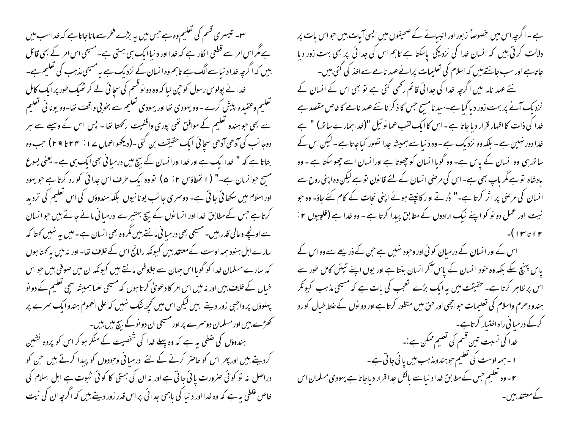س - تبسری قسم کی تعلیم وہ ہے جس میں یہ بڑے فخر سے ماناجاتا ہے کہ خداسب میں ہے مگر اس امر سے قطعی الکار ہے کہ خدا اور د نیا ایک ہی ہستی ہے۔ مسیحی اس امر کے بھی قائل بیں کہ اگرچہ خدا د نیا سے الگ ہے تاہم وہ انسان کے نزدیک ہے یہ مسیحی مذہب کی تعلیم ہے۔ خدا نے پولوس رسول کو حین لیا کہ وہ دو نو قسم کی سچا ئی لے کر ٹھیک طور پر ایک کامل تعلیم وعقیدہ پیش کرے - وہ یہودی تھا اور یہودی تعلیم سے بخوبی واقف تھا-وہ یونا فی تعلیم سے بھی حو ہندو تعلیم کے موافق تھی پوری واقفیت رکھتا تھا - پس اس کے وسیلے سے ہر دوجا نب کی آدھی آدھی سجائی ایک حقیقت بن گئی ۔(دیکھواعمال ۲۰٪ ۲۴ تا ۲۹ ) جب وہ بتاتا ہے کہ " خداایک ہے اور خدااورانسان کے بیچ میں درمیا فی بھی ایک ہی ہے ۔ یعنی یسوع مسح حوانسان ہے۔" ( I تمطاؤس ٢: ۵) نووہ ایک طرف اس جدائی کو رد کرتا ہے جو یہود اوراسلام میں سکھائی جاتی ہے۔ دوسمری جانب یونانیوں بلکہ ہندوؤں کی اس تعلیم کی تردید کرتاہے جس کے مطابق خدا اور انسانوں کے بیچ بہتیرے درمیا فی مانے جاتے بیں حوالسان سے اونچے وعالی قدر بیں۔مسیحی بھی درمیا فی مانتے ہیں مگروہ بھی انسان ہے۔میں یہ نہیں کھتا کہ سارے اہل ہنود ہمہ اوست کےمعتقد بیں کیونکہ رامانج اس کے خلاف تھا- اور نہ میں ہہ کھتا ہوں کہ سارے مسلمان خدا کو گویا اس جہان سے جلاوطن مانتے ہیں کیونکہ ان میں صوفی بیں حواس خیال کے خلاف بیں اور نہ میں اس امر کا دعویٰ کرتا ہوں کہ مسیحی علما ہمیشہ سچی تعلیم کے دو نو پہلوؤں پر واجبی زور دیتے ہیں لیکن اس میں تحیحہ نتُک نہیں کہ علی العموم ہندو ایک سرے پر کھڑے بیں اور مسلمان دوسمرے پر اور مسیحی ان دو نوکے بیچ میں بیں۔ ہندوؤں کی غلطی بہ ہے کہ وہ پہلے خدا کی شخصیت کے منکر ہو کر اس کو پردہ نشین کردیتے ہیں اور پھر اس کو حاصر کرنے کے لئے درمیانی وحبودوں کو پیدا کرتے ہیں حن کو دراصل نہ تو کوئی صرورت یا ئی جاتی ہے اور نہ ان کی ہستی کا کوئی شبوت ہے اہل اسلام کی خاص غلطی ہیہ ہے کہ وہ خدا اور د نیا کی باہمی جدا ئی پر اس قدر زور دیتے ہیں کہ اگرچہ ان کی نیت

ہے ۔اگرچہ اس میں خصوصاً زبور اور انببائے کے صحیفوں میں ایسی آبات، بیں حواس بات پر دلالت کرتی ہیں کہ انسان خدا کی نزدیکی پاسکتا ہے تاہم اس کی جدائی پر بھی بہت زور دیا جاتاہے اور سب جانتے ہیں کہ اسلام کی تعلیمات پرانے عہد نامے سے اخذ کی گئی بیں۔ نئے عہد نامہ میں اگرچہ خدا کی جدائی قائم رکھی گئی ہے تو بھی اس کے انسان کے نزدیک آنے پر بہت زور دیا گیا ہے۔سید نامسح جس کا ذکر نانئے عہد نامے کا خاص مقصد ہے خدا کی ذات کا اظہار قرار دیا جاتا ہے - اس کا ایک لقب عما نو ئیل "(خدا ہمارے ساتھ) " ہے خدا دور نہیں ہے ۔ بلکہ وہ نزدیک ہے - وہ د نیا سے ہمیشہ جدا تصور کیاجاتا ہے ۔ لیکن اس کے ساتھ ہی وہ انسان کے پاس ہے۔ وہ گویا انسان کو چھوتا ہے اورانسان اسے چھو سکتا ہے ۔ وہ بادشاہ توہے مگر باپ بھی ہے۔ اس کی مرضی انسان کے لئے قانون توہے لیکن وہ اپنی روح سے انسان کی مرحنی پر اثر کرتا ہے۔" ڈرتے او ر کانپتے ہوئے اپنی نحات کے کام کئے جاؤ- وہ حبو نیت اور عمل دو نو کو اپنے نیک ارادوں کے مطابق پیدا کرتا ہے - وہ خدا ہے (فلپیوں ٢:

اس کے اور انسان کے درمیان کوئی اور وحبود نہیں ہے حن کے ذریعے سے وہ اس کے یاس پہنچ سکے بلکہ وہ خود انسان کے پاس آکر انسان بنتا ہے اور یوں اپنے تیئں کامل طور سے اس پر ظاہر کرتا ہے۔ حقیقت میں بہ ایک بڑے تعجب کی بات ہے کہ مسیحی مذہب کیونکر ہندو دھرم واسلام کی تعلیمات حواجھی اور حق بیں منظور کرتا ہے اور دو نوں کے غلط خیال کورد کرکے درمیا فی راہ اختیار کرتاہے۔ خدا کی نسبت تین قسم کی تعلیم ممکن ہے :۔ ا - ہمہ اوست کی تعلیم حوہندومذہب میں یا ئی جا تی ہے -۲ – وہ تعلیم جس کےمطابق خداد نیا سے بالکل جدا قرار دیاجاتا ہے یہودی مسلمان اس کےمعتقد بیں۔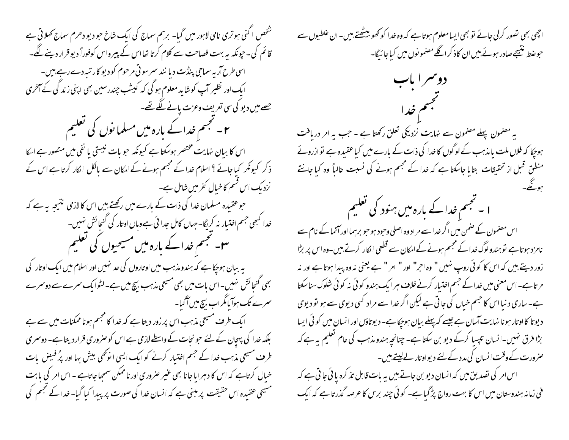شخص اکنی ہو تری نامی لاہور میں گبا۔ برہم سماج کی ایک شاخ حو دیو دھرم سماج کھلاتی ہے قائم کی۔حیونکہ یہ بہت فصاحت سے کلام کرتا تھااس کے بیبرواس کوفوراً دیو قرار دینے لگے۔ اسی طرح آر به سماجی پنڈت دیا نند سمرسو تی مرحوم کودیو کار تیبردے رہے، ہیں۔ ایک اور نظیر آپ کو شاید معلوم ہو گی کہ کیشب چندرسین بھی اپنی زند کی کے آمخری حصے میں دیو کی سی تعریف وعزت پانے لگے تھے۔ ۲۔ مجسم خدا کے بارہ میں مسلما نوں کی تعلیم اس کا بیان نہایت مختصر ہوسکتا ہے کیونکہ حبو بات نیستی یا نفی میں متصور ہے ایکا ذکر کیونکر کیا جائے ؟ اسلام خدا کے مجتم ہونے کے امکان سے بالکل الکار کرتا ہے اس کے نزدیک اس قسم کاخیال کفر میں شامل ہے۔ حو عقیدہ مسلمان خدا کی ذات کے بارے میں رکھتے ہیں اس کالازمی نتیجہ یہ ہے کہ خدا کبھی جسم اختیار نہ کریگا۔جہاں کامل جدا ئی ہےوہاں او تار کی کنجائش نہیں۔ س سمجسم خداکے بارہ میں مسیحیوں کی تعلیم یہ بیان ہوجکا ہے کہ ہندومذہب میں اوتاروں کی حد نہیں اور اسلام میں ایک اوتار کی بھی کنجائش نہیں۔اس بات میں بھی مسیحی مذہب بیچ میں ہے۔لٹوایک سمرے سے دوسمرے سمرے تک ہوآیامگراب بیچ میں آگیا۔ ایک طرف مسیحی مذہب اس پر زور دیتا ہے کہ خدا کا مجسم ہونا ممکنات میں سے ہے بلکہ خدا کی پہچان کے لئے حبو نجات کے واسطے لازمی ہے اس کو صروری قرار دیتا ہے۔ دوسمری طرف مسیحی مذہب خدا کے جسم اختیار کرنے کو ایک ایسی انونھی بیش بہا اور پُر فیصِ پات خیال کرتاہے کہ اس کا دہرا یا جانا بھی عنیر صروری اور ناممکن سمجھا جاتاہے ۔ اس امر کی یابت مسیحی عقیدہ اس حقیقت پر مبنی ہے کہ انسان خدا کی صورت پر بیدا کیا گیا۔ خدا کے نجم کی

اچھی بھی تصور کرلی جائے تو بھی ایسامعلوم ہوتا ہے کہ وہ خدا کو کھو بیٹھتے،بیں۔ان غلطیوں سے حوعلط نتیجے صادر ہوئے ہیں ان کاذ کراگلے مصنمو نوں میں کیاجا رّیگا۔

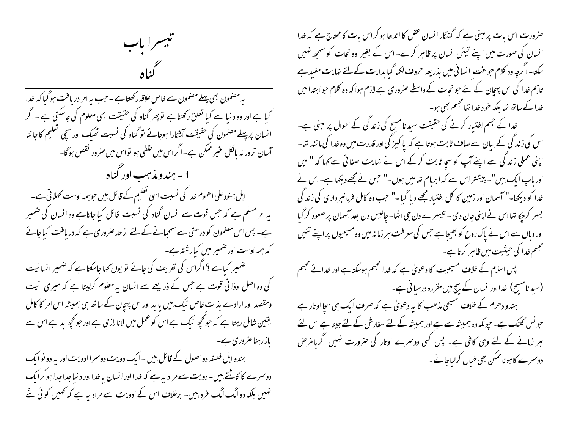صرورت اس بات پر مبنی ہے کہ گنہگار انسان عقل کا اندھا ہو کر اس بات کا محتاج ہے کہ خدا انسان کی صورت میں اپنے تیئں انسان پر ظاہر کرے۔ اس کے بغیر وہ نجات کو سمجھ نہیں سکتا-اگرچہ وہ کلام حولفت انسانی میں بذریعہ حروف لکھا گیا بدایت کے لئے نہایت مفید ہے تاہم خدا کی اس پہچان کے لئے حو نجات کے واسطے صروری ہے لازم ہوا کہ وہ کلام حوابتدا میں خدا کے ساتھ تھا بلکہ خود خدا تھا مجسم بھی ہو۔

خدا کے جسم اختیار کرنے کی حقیقت سید نامسح کی زندگی کے احوال پر مبنی ہے۔ اس کی زند گی کے بیان سے صاف ثابت ہوتا ہے کہ پا کیپز گی اور قدرت میں وہ خدا کی ما نند تھا۔ اپنی عملی زند گی سے اپنے آپ کو سچا ثابت کرکے اس نے نہایت صفائی سے کہا کہ " میں اور ماپ ایک بیں"۔ پیشتر اس سے کہ ابرمام تفامیں ہوں۔" حس نےمجھے دیکھاہے۔اس نے خدا کو دیکھا۔" آسمان اور زمین کا کل اختیار مجھے دیا گیا -" حب وہ کامل فرمانسرداری کی زند کی بسر کر بیکا تھا اس نے اپنی جان دی - تبیسرے دن جی اٹھا- چالیس دن بعد آسمان پر صعود کر گیا اور وہاں سے اس نے پاک روح کو بھیجا ہے جس کی معرفت ہر زمانہ میں وہ مسیحیوں پر اپنے تئیں محجسم خدا کی حیثیت میں ظاہر کرتاہے۔ پس اسلام کے خلاف مسیحیت کا دعویٰ ہے کہ خدا مجسم ہوسکتاہے اور خدائے مجسم (سید نامسیح) خدااورانسان کے بیچ میں مقررہ درمیا فی ہے۔<br>۔ ہندو دھرم کے خلاف مسیحی مذھب کا یہ دعویٰ ہے کہ صرف ایک ہی سچا اوتار ہے حبونس کلنک ہے۔ حپونکہ وہ ہمیشہ سے ہے اور ہمیشہ کے لئے سفارش کے لئے جیتا ہے اس لئے ہر زمانے کے لئے وہی کافی ہے۔ پس کسی دوسرے اوتار کی صرورت نہیں اگر بالفرض دوسرے کا ہوناممکن بھی خیال کرایاجائے۔

تيسرا باب  $\mathcal{L}$ 

پہ مصنمون بھی پہلے مصنمون سے خاص علاقہ رکھتا ہے ۔ حب پہ امر دریافت ہو گیا کہ خدا کیا ہے اور وہ دنیا سے کیا تعلق رکھتاہے توپھر گناہ کی حقیقت بھی معلوم کی جاسکتی ہے ۔ اگر انسان پرپہلے مصنمون کی حقیقت آتشکارا ہوجائے تو گناہ کی نسبت ٹھیک اور سچی تعلیم کا جا ننا آسان ترور نہ پالکل عنیر ممکن ہے۔اگراس میں علطی ہو تواس میں صرور نقص ہوگا۔ ا - ہندومذہب اور کناہ ابل ہنود علی العموم خدا کی نسبت اسی تعلیم کے قائل بیں حوہمہ اوست کہلاتی ہے۔ یہ امر مسلم ہے کہ جس قوت سے انسان گناہ کی نسبت قائل کیا جاتاہے وہ انسان کی ضمیر ہے۔ پس اس مصنمون کو درستی سے سمجیانے کے لئے از حد صروری ہے کہ دریافت کیاجائے کہ ہمہ اوست اور ضمیر میں کیارشتہ ہے۔ ضمیر کیاہے ؟ اگراس کی تعریف کی جائے تو یوں کہاجاسکتاہے کہ ضمیر انسانیت کی وہ اصل وذا تی قوت ہے جس کے ذریعے سے انسان یہ معلوم کرلیتا ہے کہ میری نیت ومقصد اور ارادے بذات خاص نیک بیں یا بد اوراس پہچان کے ساتھ ہی ہمیشہ اس امر کا کامل یقین شامل رہتا ہے کہ حو تحچیہ نیک ہے اس کو عمل میں لانالازمی ہے اور حو تحچیہ بد ہے اس سے باز رہناصروری ہے۔ ہندو اہل فلسفہ دو اصول کے قائل بیں ۔ ایک دویت دوسمرا ادویت اور یہ دو نو ایک

دوسرے کا کاٹتے ہیں۔ دویت سے مرادیہ ہے کہ خد ااور انسان یا خدااور د نباجداجدا ہو کرایک نہیں بلکہ دوالگ الگ فرد ہیں۔ برخلاف اس کے ادویت سے مراد یہ ہے کہ تھمیں کوئی شے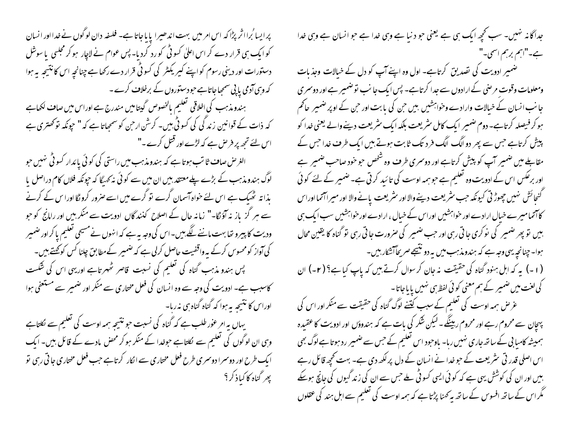پر ایسا <sup>ث</sup>برااثر پڑا کہ اس امر میں بہت اندھیرا پایا جاتا ہے۔ فلسفہ دان لو گوں نے *خد*ا اور انسان کو ایک ہی قرار دے کر اس اعلیٰ کسو ٹی کو رد کردیا۔ پس عوام نے لاچار ہو کر مجلسی یا سوشل دستورات اور دینی رسوم کو اپنے کیریکٹر کی کسوٹی قرار دے رکھاہے چنانچہ اس کانتیجہ یہ ہوا کہ وہی آدمی پاپی سمجیا جاتاہے حبودستوروں کے برخلاف کرے۔ ہندومذہب کی اخلاقی تعلیم بالخصوص گیتامیں مندرج ہے اوراس میں صاف لکھاہے کہ ذات کے قوانین زند کی کی کسو ٹی بیں۔ کرشن ارحن کو سمجاتا ہے کہ " حیونکہ تو کھتری ہے اس لئے تجھ پر فر ص ہے کہ لڑے اور قتل کرے۔" الغرص صاف ثا تب ہوتا ہے کہ ہندومذہب میں راستی کی کوئی پائدار کسو ٹی مہیں حو لوگ ہندومذہب کے بڑے پلےمعتقد بیں ان میں سے کوئی نہ کھیگا کہ حیونکہ فلاں کام دراصل یا یذا تہ ٹھیک ہے اس لئے خواہ آسمان گرے تو گرے میں اسے صرور کرو گا اورا س کے کرنے سے ہر گز یاز نہ آؤنگا-" زمانہ حال کے اصلاح کنند گاں ادویت سے منکر بیں اور رامانچ کو حبو ودیت کا پیرو تھا بہت ماننے لگے بیں۔اس کی وجہ بہ ہے کہ انہوں نے مسیحی تعلیم پا کراور ضمیر کی آواز کومحسوس کرکے بہ واقفیت حاصل کرلی ہے کہ ضمیر کےمطابق چلنا کس کو کھتے ہیں۔ یس ہندو مذہب گناہ کی تعلیم کی نسبت قاصر ٹھہرتاہے اور یہی اس کی شکست کاسبب ہے۔ ادویت کی وجہ سے وہ انسان کی فعل مختاری سے منکر اور ضمیر سے مستعفی ہوا اوراس کا نتیجہ پہ ہوا کہ گناہ گناہ ہی نہ رہا۔ یہاں یہ امر عوٰر طلب ہے کہ گناہ کی نسبت حو نتیجہ ہمہ اوست کی تعلیم سے نکلتاہے وہی ان لوگوں کی تعلیم سے لکلتاہے حوضدا کے منکر ہو کر محض مادے کے قائل بیں۔ ایک ا یک طرح اور دوسمرا دوسمر ی طرح فعل مختاری سے الکار کرتاہے جب فعل مختاری جا تی رہی تو بھر گناہ کا کیاذ کر ؟

جداگانہ نہیں۔ سب تحچہ ایک ہی ہے یعنی حو دنیا ہے وہی خدا ہے حو انسان ہے وہی خدا ہے۔"اہم برہم اسمی۔" ضمیر ادویت کی تصدیق کرتاہے۔ اول وہ اپنے آپ کو دل کے خیالات وجذبات ومعلومات وقوت مرضی کے ارادوں سے جدا کر تاہے۔ پس ایک جا نب نوضمیر ہے اور دوسمری جا نب انسان کے خیالات وارادے وحواہشیں بیں حن کی یا بت اور حمِن کے اوپر ضمیر ِ حاکم ہو کر فیصلہ کرتاہے۔ دوم ضمیر ایک کامل سٹریعت بلکہ ایک سٹریعت دینےوالے یعنی خدا کو پیش کرتاہے جس سے پھر دو الگ الگ فر دیک ثابت ہوتے ہیں ایک طرف غدا جس کے مقابلے میں ضمیر آپ کو پیش کرتاہے اور دوسری طرف وہ شخص حبو خود صاحب ضمیر ہے اور برعکس اس کے ادویت وہ تعلیم ہے حو ہمہ اوست کی تائید کرتی ہے۔ضمیر کے لئے کوئی گنجائش نهبیں چھوڑتی کیونکہ حب سٹریعت دینےوالااور سٹریعت پانےوالا اور میراآتما اوراس کاآتمامیرے خیال ارادے اور خواہشیں اوراس کے خیال ، ارادے اور خواہشیں سب ایک ہی بیں تو پھر ضمیر کی نوکری جا تی رہی اور حب ضمیر کی صرورت جا تی رہی تو گناہ کا یقین محال ہوا۔ چنانچہ یہی وجہ ہے کہ ہندومذہب میں یہ دو نتیجے صریحاً کشکار ہیں۔ (۱-) یہ کہ اہل ہنود گناہ کی حقیقت نہ جان کر سوال کرتے ہیں کہ پاپ کیاہے؟ (۲-) ان کی لغت میں ضمیر کے ہم معنی کوئی لفظ ہی نہیں یا باجاتا -عرض ہمہ اوست کی تعلیم کے سبب کینے لوگ گناہ کی حقیقت سے منکر اور اس کی پہچان سے محروم رہے اور محروم رہینگے۔لیکن شکر کی بات ہے کہ ہندوؤں اور ادویت کا عقیدہ ہمیشہ کامیابی کے ساتھ جاری نہیں رہا۔ ماوجود اس تعلیم کے جس سے ضمیر رد ہوتا ہے لوگ بھی اس اصلی قدر تی سٹریعت کے حو غدا نے انسان کے دل پر لکھ دی ہے۔ بہت کحچھ قائل رہے بیں اور ان کی کوشش یہی ہے کہ کوئی ایسی کسو ٹی ملے جس سے ان کی زند گیوں کی جانچ ہوسکے مگر اس کے ساتھ افسوس کے ساتھ بہ کھنا پڑتا ہے کہ ہمہ اوست کی تعلیم سے اہل ہند کی عقلوں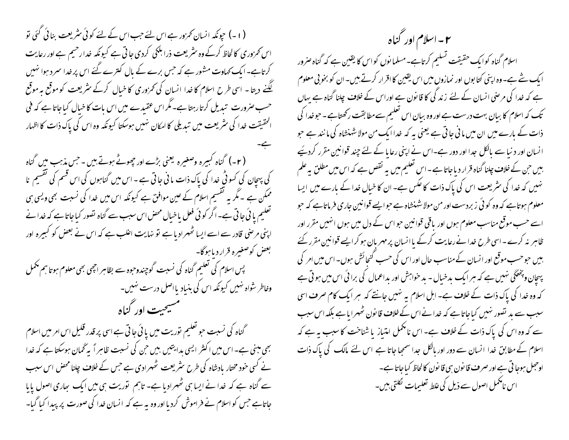( ۱ - ) حچونکہ انسان کھرور ہے اس لئے حب اس کے لئے کوئی سٹریعت بنائی گئی تو اس کمروری کالحاظ کرکے وہ سٹریعت ذرابلکی کردی جاتی ہے کیونکہ خدارحیم ہے اور رعایت کرتاہے۔ایک کھاوت مشور ہے کہ جس برے کے بال کترے گئے اس پر خدا سمرد ہوا نہیں لگنے دیتا۔ اسی طرح اسلام کا خدا انسان کی تمروری کا خبال کرکے سٹریعت کو موقع ہہ موقع حسب صرورت تبدیل کرتارہتا ہے۔مگر اس عقیدے میں اس بات کا خبال کباجاتا ہے کہ فی الحقیقت خدا کی سٹریعت میں تبدیلی کا امکان نہیں ہوسکتا کیونکہ وہ اس کی پاک ذات کا اظہار ( ۲- ) گناہ کہیرہ وصغیرہ یعنی بڑے اور چھوٹے ہوتے ہیں ۔حس مذہب میں گناہ کی پہچان کی کسو ٹی خدا کی پاک ذات مانی جاتی ہے۔اس میں گناہوں کی اس قسم کی نقسیم نا ممکن ہے ۔ مگر یہ تقسیم اسلام کے عین موافق ہے کیونکہ اس میں خدا کی نسبت بھی ویسی ہی تعلیم یا ئی جا تی ہے۔اگر کوئی فعل یاخیال محص اس سبب سے گناہ تصور کیاجاتا ہے کہ خدا نے اپنی مرضی قادر سے اسے ایسا ٹھہرادیا ہے تو نہایت اعلب ہے کہ اس نے بعض کو کبیرہ اور بعض کوصغیره قرار دیا ہوگا۔ پس اسلام کی تعلیم گناہ کی نسبت گوچندوحوہ سے بظاہر اچھی بھی معلوم ہوتا ہم مکمل وخاطر شواہ نہیں کیونکہ اس کی بنیاد یااصل درست نہیں۔ مسيحيت اور گناه

گناہ کی نسبت حو تعلیم نوریت میں یا ٹی جا تی ہے اسی پر قدر قلیل اس امر میں اسلام بھی مبنی ہے۔اس میں اکثر ایسی ہدایتیں بیں حن کی نسبت ظاہر اً یہ گھان ہوسکتا ہے کہ خدا نے کسی خود مختار بادشاہ کی طرح سثر یعت شھہرادی ہے جس کے خلاف چلنا محص اس سبب سے گناہ ہے کہ خدا نے ایسا ہی ٹھہرادیا ہے۔ تاہم نوریت ہی میں ایک ہعاری اصول پایا جاتاہے جس کو اسلام نے فراموش کردیا اور وہ یہ ہے کہ انسان خدا کی صورت پر پیدا کیا گیا-

۲ – اسلام اور گناه اسلام گناہ کوایک حقیقت تسلیم کرتاہے۔مسلمانوں کواس کا یقین ہے کہ گناہ صرور ا بک شے ہے۔ وہ اپنی کتابوں اور نمازوں میں اس یقین کا اقرار کرتے ہیں۔ ان کو بخو بی معلوم ہے کہ خدا کی مرحنی انسان کے لئے زند کی کا قانون ہے اوراس کے خلاف چلنا گناہ ہے یہاں تک کہ اسلام کا بیان بہت درست ہے اور وہ بیان اس تعلیم سے مطابقت رکھتاہے ۔ حوخدا کی ذات کے بارے میں ان میں ما ٹی جا تی ہے یعنی بہ کہ خدا ایک من مولا شہنشاہ کی ما نند ہے حو انسان اور د نیا سے پالکل جدا اور دور ہے۔اس نے اپنی رعایا کے لئے چند قوانین مقرر کردیئیے ، بی<sub>ں</sub> ح<sub>بن</sub> کے خلاف چلنا گناہ قرار دیا جاتا ہے ۔ اس تعلیم میں یہ نقص ہے کہ اس میں مطلق یہ علم نہیں کہ خدا کی سثر یعت اس کی پاک ذات کا عکس ہے۔ ان کا خیال خدا کے بارے میں ایسا معلوم ہوتاہے کہ وہ کوئی زبردست اور من مولا شہنشاہ ہے حوالیے قوانین جاری فرماتاہے کہ حو اسے حسب موقع مناسب معلوم ہوں اور یاقی قوانین حواس کے دل میں ہوں انہیں مقرر اور ظاہر نہ کرے - اسی طرح خدا نے رعایت کرکے یاانسان پر مہر بان ہوکر ایسے قوانین مقرر کئے بیس حبوحسب موقع اور انسان کے مناسب حال اور اس کی حسب کنجائش ہوں۔اس میں امر کی پہچان و پخسگی نہیں ہے کہ ہر ایک بدخیال - بد خواہش اور بداعمال کی برائی اس میں ہو تی ہے کہ وہ خدا کی پاک ذات کے خلاف ہے۔ اہل اسلام یہ نہیں جانتے کہ ہر ایک کام صرف اسی سبب سے ید تصور نہیں کیاجاتا ہے کہ خدا نےاس کے خلاف قانون ٹھہرایا ہے بلکہ اس سبب سے کہ وہ اس کی پاک ذات کے خلاف ہے۔ اس نا مکمل امتباز یا شناخت کا سبب یہ ہے کہ اسلام کے مطابق خدا انسان سے دور اور بالکل جدا سمجعا جاتا ہے اس لئے مالک کی پاک ذات اوحجل ہوجا تی ہے اور صرف قانون ہی قانون کالحاظ کیاجاتا ہے۔ اس نامکمل اصول سے ذیل کی علط تعلیمات لکلتی ہیں۔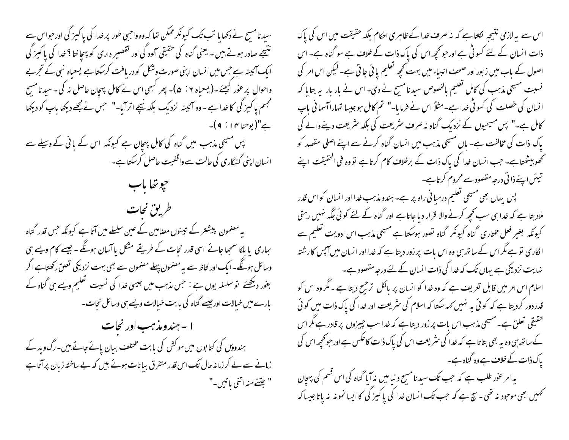سید نامسج نے دکھایا تب تک کیونکر ممکن تھا کہ وہ واجبی طور پر خدا کی پاکیز کی اور حبواس سے نتیجے صادر ہوتے ہیں ۔ یعنی گناہ کی حقیقی آلود گی اور تقصیر داری کو پہچا نتا <sup>9</sup> خدا کی پاکیز گی ا یک آئینہ ہے جس میں انسان اپنی صورت وشکل کو دریافت کرسکتا ہے یسعیاہ نبی کے تجربے واحوال پر عوْر کیجئے ۔(یععاہ ۰ : ۵)۔ پھر کبھی اس نے کامل پہچان حاصل نہ کی۔سید نامسِح مجسم یا کیز کی کا خدا ہے ۔ وہ آئینہ نزدیک بلکہ نیچے اترآیا-" حبس نےمجھے دیکھا باپ کو دیکھا ہے"(پوحنا ۴ ا : ۹ )۔ پس مسیحی مذہب میں گناہ کی کامل پہچان ہے کیونکہ اس کے بانی کے وسیلے سے انسان اپنی گنهگاری کی حالت سے واقفیت حاصل کرسکتا ہے۔ حيوتفاياب طريق نجات یہ مصنمون پیشتر کے تیسوں مصامین کے عین سلسلے میں آتا ہے کیونکہ جس قدر گناہ بعاری یا ہلکا سمجا جائے اسی قدر نجات کے طریقے مشکل پا آسان ہوگھ ۔ جیسے کام ویسے ہی وسائل ہوئگے۔ایک اور لحاظ سے یہ مصنمون پہلے مصنمون سے بھی بہت نزدیکی تعلق رکھتاہے اگر بغور دیکھئے تو سلسلہ یوں ہے : حس مذہب میں جیسی خدا کی نسبت تعلیم ویسے ہی گناہ کے بارے میں خیالات اور جیسے گناہ کی بابت خیالات ویسے ہی وسائل نجات۔ ۱ - ہندومذہب اور نجات ہندوؤں کی کتابوں میں موکش کی بابت مختلف بیان یائے جاتے ہیں۔رگ وید کے زمانے سے لے کرزمانہ حال تک اس قدر متفرق بیانات ہوئے بیں کہ بے ساختہ زبان پرآتا ہے " جِئسْے منہ اتنی باتیں۔"

اس سے پہ لازمی نتیجہ ککتا ہے کہ نہ صرف خدا کے ظاہری احکام بلکہ حقیقت میں اس کی پاک ذات انسان کے لئے کسو ٹی ہے اور حبوتحچھ اس کی پاک ذات کے خلاف ہے سو گناہ ہے۔ اس اصول کے ماب میں زبور اور صحف انبیاء میں بہت تحچھ تعلیم یا ئی جاتی ہے۔ لیکن اس امر کی نسبت مسیحی مذہب کی کامل تعلیم بالخصوص سید نامسیح نے دی۔ اس نے مار بار پہ بتایا کہ انسان کی خصلت کی کسو ٹی خدا ہے۔ مثلاً اس نے فرمایا-" تم کامل ہو جیسا تہاراآسما فی باپ کامل ہے۔" پس مسیحیوں کے نزدیک گناہ نہ صرف سٹریعت کی بلکہ سٹریعت دینےوالے کی پاک ذات کی مخالفت ہے۔ پاں مسیحی مذہب میں انسان گناہ کرنے سے اپنے اصلی مقصد کو تحصو بیٹھتاہے۔ حب انسان خدا کی پاک ذات کے برخلاف کام کرتاہے تو وہ فی الحقیقت اپنے تیئں اپنے ذا ٹی درجہ مقصود سے محروم کرتاہے۔ پس یہاں بھی مسیحی تعلیم درمیافی راہ پر ہے۔ ہندو مذہب خدا اور انسان کو اس قدر ملادیتا ہے کہ خدا ہی سب تحیھ کرنے والا قرار دیا جاتاہے اور گناہ کے لئے کوئی جگہ نہیں رہتی کیونکہ بغیر فعل مختاری گناہ کیونکر گناہ تصور ہوسکتا ہے مسیحی مذہب اس ادویت تعلیم سے انکاری نوہے مگر اس کے ساتھ ہی وہ اس بات پر زور دیتا ہے کہ خدا اور انسان میں آپس کا رشتہ نہایت نزدیکی ہے یہاں تک کہ خدا کی ذات انسان کے لئے درجہ مقصود ہے۔

اسلام اس امر میں قابل تعریف ہے کہ وہ خدا کو انسان پر پالکل ترجیح دیتا ہے ۔ مگر وہ اس کو قدردور کردیتا ہے کہ کوئی یہ نہیں <sub>ک</sub>ہہ سکتا کہ اسلام کی سثر یعت اور <sub>خدا</sub> کی پاک ذات میں کوئی حقیقی تعلق ہے۔مسیحی مذہب اس بات پر زور دیتا ہے کہ خداسب جیپزوں پر قادر ہے مگر اس کے ساتھ ہی وہ یہ بھی بتاتا ہے کہ خدا کی سٹریعت اس کی پاک ذات کا عکس ہے اور حو محچہ اس کی یاک ذات کے خلاف ہے وہ گناہ ہے۔

بہ امر عوٰر طلب ہے کہ جب تک سید نامسح دنیامیں نہ آیا گناہ کی اس قسم کی پہچان تحمیں بھی موحود نہ تھی۔ سچ ہے کہ حب تک انسان خدا کی پاکیز گی کا ایسا نمونہ نہ پاتا جیسا کہ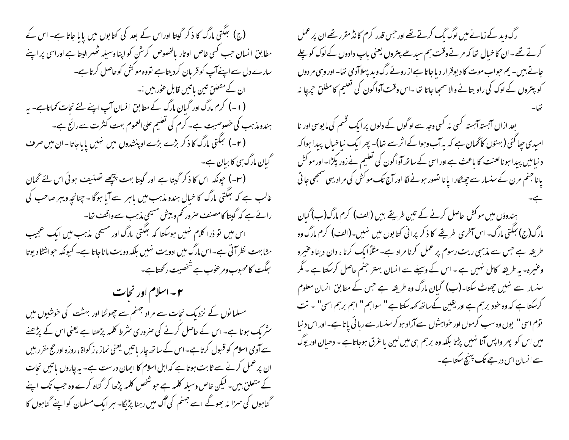(ج) بھگتی مارگ کا ذکر گیتا اوراس کے بعد کی کتابوں میں یا ما جاتا ہے۔ اس کے مطابق انسان حبب کسی خاص اوتار بالخصوص کرشن کو اپنا وسیله ٹھهرالیتا ہے اوراسی پر اپنے سارے دل سے اپنےآپ کو قریان کردیتا ہے تووہ موکش کوحاصل کرتا ہے۔ ان کے متعلق تین باتیں قابل عوٰر بیں :۔ " (۱۔) کرم مارگ اور گیان مارگ کے مطابق انسان آپ اپنے لئے نجات کماتاہے۔ یہ ہندومذہب کی خصوصیت ہے۔ کرم کی تعلیم علی العموم بہت کنثرت سے رائج ہے۔ (۲-) بعکتی مارگ کا ذکر بڑے بڑے اوپنشدوں میں نہیں یایاجاتا۔ان میں صرف گیان مارگ ہی کا بیان ہے۔ (۳-) حیونکہ اس کا ذکر گیتا ہے اور گیتا بہت پیچھے تصنیف ہوئی اس لئے گھان غالب ہے کہ بعکتی مارگ کا خیال ہندو مذہب میں باہر سے آیا ہوگا - چنانچہ ویبر صاحب کی رائے ہے کہ گیتا کامصنف صرور کم وبیش مسیحی مذہب سے واقف تھا۔ اس میں تو ذرا کلام نہیں ہوسکتا کہ بھکتی مارگ اور مسیحی مذہب میں ایک عجیب مشابهت نظر آتی ہے۔اس مارگ میں ادویت نہیں بلکہ دویت ماناجاتا ہے۔ کیونکہ حواشٹا دیوتا بعكت كامحبوب ومرعوب ہے شخصيت ركھتاہے۔

۲ - اسلام اور نجات مسلمانوں کے نزدیک نجات سے مراد جہنم سے چھوٹنا اور بہشت کی خوشیوں میں سٹر یک ہونا ہے۔ اس کے حاصل کرنے کی صروری سٹرط کلمہ پڑھنا ہے یعنی اس کے پڑھنے سے آدمی اسلام کو قبول کرتاہے۔اس کے ساتھ چار باتیں یعنی نماز ، زکواۃ ، روزہ اور حج مقرر بیں ان پر عمل کرنے سے ثابت ہوتا ہے کہ اہل اسلام کا ایمان درست ہے۔ بہ چاروں یا تیں نجات کے متعلق بیں۔ لیکن خاص وسیلہ کلمہ ہے حبو شخص کلمہ پڑھا کر گناہ کرے وہ حب تک اپنے گناہوں کی سمزا نہ بھوگے اسے جہنم کی آگ میں رہنا پڑیگا- ہر ایک مسلمان کو اپنے گناہوں کا رگ وید کے زمانے میں لوگ بگ کرتے تھے اور جس قدر کرم کا نڈ مقرر تھے ان پر عمل کرتے تھے۔ان کاخیال تھا کہ مرتےوقت ہم سیدھے پتروں یعنی باپ دادوں کے لوک کو چلے جاتے بیں۔ یم حواب موت کا دیوقرار دیاجاتا ہے از روئے رگ وید پہلاآدمی تھا۔ اور وہی مر دوں کو پتروں کے لوک کی راہ بتانے والاسمحِیا جاتا تھا ۔اس وقت آوا گون کی تعلیم کا مطلق حجرجا نہ

بعد ازاں آہستہ آہستہ کسی نہ کسی وجہ سے لوگوں کے دلوں پر ایک قسم کی ما یوسی اور نا امیدی حیا گئی (بهتوں کا گھان ہے کہ بہ آب وہوا کے اثر سے نتا)۔ پھر ایک نیاخیال پیدا ہوا کہ د نیامیں پیدا ہونالعنت کا باعث ہے اور اسی کے ساتھ آوا گون کی تعلیم نے زور پکڑا۔ اور مو کش یانا جنم مرن کے سنسار سے چھٹکارا یانا تصور ہونے لگا اور آج تک موکش کی مرادیهی سمجھی جاتی

ہندوؤں میں موکش حاصل کرنے کے تین طریقے بیں (ال<sub>ع</sub>ب) کرم مارگ(ب) گبان مارگ(ج) بعکتی مارگ- اس آخری طریقے کا ذکر پرانی کتابوں میں نہیں۔(الف) کرم مارگ وہ طریقہ ہے جس سے مذہبی ریت رسوم پر عمل کرنا مراد ہے۔ مثلاً ایک کرنا ، دان دینا وعنیرہ وعنیرہ- یہ طریقہ کامل نہیں ہے ۔ اس کے وسیلے سے انسان بہتر جنم حاصل کرسکتا ہے ۔ مگر سنسار سے نہیں چھوٹ سکتا۔(ب) گیان مارگ وہ طریقہ ہے جس کے مطابق انسان معلوم کرسکتا ہے کہ وہ حنود برہم ہے اور یقین کےساتھ کہہ سکتا ہے " سواہم " اہم برہم اسمی" ۔ تت توم اسی " یوں وہ سب کرموں اور خواہشوں سے آزاد ہو کرسنسار سے رہائی پاتا ہے۔ اور اس د نیا میں اس کو پھر واپس آنا نہیں پڑتا بلکہ وہ برہم ہی میں لین یا عرق ہوجاتاہے - دھیان اور یوگ سے انسان اس درجے تک پہنچ سکتا ہے۔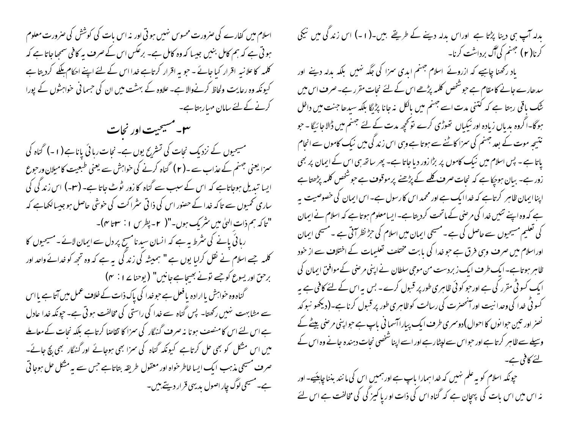اسلام میں کفارے کی صرورت محسوس نہیں ہو تی اور نہ اس بات کی کوشش کی صرورت معلوم ہو تی ہے کہ ہم کامل بنیں جیسا کہ وہ کامل ہے۔ برعکس اس کے صرف بہ کافی سمجا جاتا ہے کہ کلمہ کا علانیہ اقرار کیا جائے ۔ حبوبیہ اقرار کرتاہے خدا اس کے لئے اپنے احکام ملکے کردیتا ہے کیونکہ وہ رعایت ولحاظ کرنےوالا ہے۔ علاوہ کے بہشت میں ان کی حسما فی خواہشوں کے پورا کرنے کے لئے سامان مہبارہتاہے۔

سیست مسیحیت اور نجات مسیحیوں کے نزدیک نجات کی تسٹرنح یوں ہے۔ نجات رہائی پاناہے(۱۔) گناہ کی سمزا یعنی جہنم کے عذاب سے ۔( ۲ ) گناہ کرنے کی خواہش سے یعنی طبعیت کامیلان ورحوع ایسا تبدیل ہوجاتاہے کہ اس کے سبب سے گناہ کا زور ٹوٹ جاتا ہے۔ (۳-) اس زند کی کی ساری تحمیوں سے تاکہ خدا کے حصور اس کی ذاتی سٹراکت کی حوشی حاصل ہو جیسالکھاہے کہ "تاكه تيم ذات الهي ميں ستريك ہوں۔"( ٢ - پطرس ١ : سوتا ٣)-ربائی پانے کی سٹرط یہ ہے کہ انسان سید نامسیح پر دل سے ایمان لائے ۔مسیحیوں کا کلمہ جسے اسلام نے نقل کرایا یوں ہے " ہمیشہ کی زند گی ہیے کہ وہ تجھ کو خدائے واحد اور برحن اور يسوع كوجسے تونے بھیجاہے جانیں" (يوحنا پے ا $\sim$  ) گناہ وہ خواہش یا ارادہ یا فعل ہے حوضدا کی پاک ذات کے خلاف عمل میں آتا ہے یا اس سے مشابہت نہیں رکھتا۔ پس گناہ سے خدا کی راستی کی مخالفت ہو تی ہے۔حیونکہ خدا عادل ہے اس لئے اس کامنصف ہونا نہ صرف گنہگار کی سمزا کا تقاضا کرتاہے بلکہ نجات کے معاملے میں اس مشکل کو بھی حل کرتاہے کیونکہ گناہ کی سمزا بھی ہوجائے اور گنہگار بھی بچ جائے۔ صرف مسیحی مذہب ایک ایسا خاطر حنواہ اور معقول طریقہ بتاتاہے جس سے بہ مشکل حل ہوجا تی ہے۔مسیحی لوگ چار اصول بدیہی قرار دیتے ہیں۔ بدلہ آپ ہی دینا پڑتا ہے اوراس بدلہ دینے کے طریقے بیں۔(١-) اس زند کی میں نیکی کرنا( ۲ ) جہنم کی گُل برداشت کرنا۔ یاد رکھنا چاہیے کہ ازرونے اسلام جہنم ابدی سزا کی جگہ نہیں بلکہ بدلہ دینے اور سدھارے جانے کا مقام ہے جو شخص کلمہ پڑھے اس کے لئے نجات مقرر ہے۔صرف اس میں ننگ باقی رہتا ہے کہ کتنی مدت اسے جہنم میں بالکل نہ جانا پڑیگا بلکہ سیدھا جنت میں داخل ہوگا-اگروہ بدیاں زیادہ اور نیکیاں تھوڑی کرے تو تحچیہ مدت کے لئے جہنم میں ڈالا جائیگا - حو نتیجہ موت کے بعد جہنم کی سمزا کاٹنے سے ہوتا ہے وہی اس زند کی میں نیک کاموں سے انجام پاتا ہے ۔ پس اسلام میں نیک کاموں پر بڑا زور دیا جاتا ہے۔ پھر ساتھ ہی اس کے ایمان پر بھی زور ہے۔ بیان ہو <sub>تھ</sub>کا ہے کہ نجات صرف کلمے کے پڑھنے پرموقوف ہے حو شخص کلمہ پڑھتا ہے اپنا ایمان ظاہر کرتاہے کہ خداایک ہے اور محمد اس کارسول ہے۔ اس ایمان کی خصوصیت پہ ہے کہ وہ اپنے تئیں خدا کی مرضی کے ماتحت کردیتا ہے۔ایسامعلوم ہوتا ہے کہ اسلام نےایمان کی تعلیم مسیحیوں سے حاصل کی ہے۔مسیحی ایمان میں اسلام کی حرِّ نظر آتی ہے ۔مسیحی ایمان اوراسلام میں صر**ت و**ہی فرق ہے حو<sub>ض</sub>را کی بابت مختلف تعلیمات کے اختلاف سے از خود ظاہر ہوتاہے۔ایک طرف ایک زبردست من موجی سلطان نے اپنی مرحنی کے موافق ایمان کی ایک کسو ٹی مقرر کی ہے اور حبو کوئی ظاہری طور پر قبول کرے۔ بس پہ اس کے لئے کافی ہے پہ کسو ٹی خدا کی وحدا نہیت اور آنحصرت کی رسالت کوظاہری طور پر قبول کرنا ہے۔(دیکھو نبو کد نصر اور تین حوا نوں کا احوال )دوسری طرف ایک پیاراآسما فی باپ ہے حواینی مرضی بیٹے کے وسیلے سے ظاہر کرتا ہے اور حبواس سے لپٹار ہے اور اسے اپنا شخصی نحات دہندہ جانے وہ اس کے لئے کافی ہے۔ حیونکہ اسلام کو یہ علم نہیں کہ خدا ہمارا باپ ہے اور ہمیں اس کی ما نند بننا چاہئیے۔ اور نہ اس میں اس بات کی پہچان ہے کہ گناہ اس کی ذات اور پا کیز کی کی مخالفت ہے اس لئے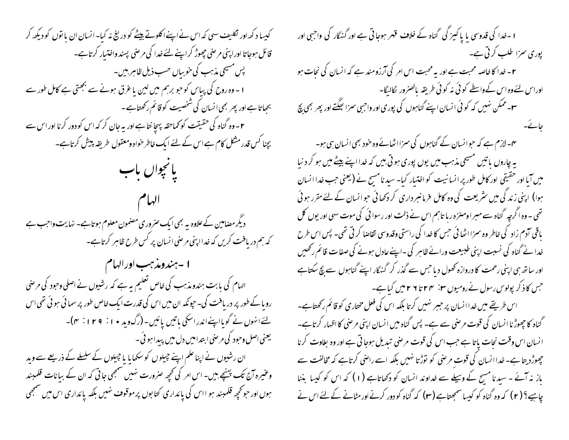کیسا د کھ اور نکلیف سہی کہ اس نے اپنے اکلوتے بیٹے کو دریغ نہ کیا۔انسان ان یا نوں کو دیکھ کر قائل ہوجاتا اوراپنی مرحنی چھوڑ کراپنے لئے خدا کی مرحنی پسند واختیار کرتاہے۔ پس مسیحی مذہب کی خوبیاں حسب ذیل ظاہر بیں۔ ا - وہ روح کی پیاس کو حبو برہم میں لین یاغرق ہونے سے بجھتی ہے کامل طور سے بجباتا ہے اور پھر بھی انسان کی شخصیت کو قائم رکھتاہے ۔ ۲ - وہ گناہ کی حقیقت کو محماحقہ پہچا نتا ہے اور یہ جان کر کہ اس کو دور کرنا اور اس سے بچنا کس قدرمشکل کام ہے اس کے لئے ایک خاطر خواہ ومعقول طریقہ پیش کرتاہے۔ بانجوان باب دیگر مضامین کے علاوہ یہ بھی ایک صروری مصنمون معلوم ہو تاہے۔ نہایت واحب ہے که ہم دریافت کریں کہ خداا پنی مرحنی انسان پر کس طرح ظاہر کرتاہے۔ ا -ہندومذہب اور الہام الہام کی بابت ہندومذہب کی خاص تعلیم یہ ہے کہ رشیوں نے اصلی وحود کی مرضی رویا کے طور پر دریافت کی۔ حیونکہ ان میں اس کی قدرت ایک خاص طور پر سمائی ہو ٹی تھی اس لئےانہوں نے گویااپنےاندراسکی باتیں یائیں۔(رگ وید • ۱ : ۱ ۲ تا )۔ یعنی اصل وحبود کی مرحنی ابتدامیں دل میں پیدا ہو ئی۔ ان رشیوں نے اپنا علم اپنے جیلوں کو سکھایا یا جیلوں کے سلسلے کے ذریعے سے وید وعنیرہ آج تک پہنچے ہیں۔ اس امر کی تحجیہ صرورت نہیں سمجھی جاتی کہ ان کے بیانات قلمبند ہوں اور حو تحچیہ قلمبند ہو ااس کی پائداری کتابوں پر موقوف نہیں بلکہ پائداری اس میں سمجھی

ا -خدا کی قدوسی یا پاکیز گی گناہ کے خلاف قہر ہوجاتی ہے اور گنہگار کی واجبی اور پوری سمزا طلب کرتی ہے۔ ۲ – خدا کا خاصہ محبت ہے اور یہ محبت اس امر کی آرزومند ہے کہ انسان کی نحات ہو اوراس لئےوہ اس کےواسطے کوئی نہ کوئی طریقہ بالصرور لگالیگا۔ **س**ے ممکن نہیں کہ کوئی انسان اپنے گناہوں کی بوری اور واحبی سمرا سِمَّتے اور پھر بھی بچ یم-لازم ہے کہ حبوانسان کے گناہوں کی سمزااٹھانےوہ خود بھی انسان ہی ہو۔ پہ چاروں پاتیں مسیحی مذہب میں یوں پوری ہوتی بیں کہ خدا اپنے پیٹے میں ہو کر د نیا میں آیا اور حقیقی اور کامل طور پر انسانیت کو اختیار کیا۔ سید نامسیح نے (یعنی حب خدا انسان ہوا) اپنی زند کی میں سٹریعت کی وہ کامل فرمانسرداری کر دکھائی حوانسان کے لئے مقرر ہوئی تھی ۔ وہ اگرچہ گناہ سے مبر اومنزہ رہا تاہم اس نے ذلت اور رسوا ئی کی موت سہی اور یوں کل یاقی آدم زاد کی خاطر وہ سمزا اٹھا ئی حس کا خدا کی راستی وقدوسی تقاضا کر تی تھی۔ پس اس طرح خدا نے گناہ کی نسبت اپنی طبیعت ورائے ظاہر کی ۔اپنے عادل ہونے کی صفات قائم رکھیں اور ساتھ ہی اپنی رحمت کا دروازہ کھول دیا جس سے گذر کر گنہگار اپنے گناہوں سے بچ سکتاہے جس کاذ کر پولوس رسول نےرومیوں ۲۰: ۲۲ تا ۲۹ تامیں کیاہے۔ اس طریقے میں خدا انسان پر حبیر نہیں کرتا بلکہ اس کی فعل مختاری کو قائم رکھتاہے۔ گناہ کا چھوڑ نا انسان کی قوت مرحنی سے ہے۔ پس گناہ میں انسان اپنی مرحنی کا اظہار کرتاہے۔ انسان اس وقت نحات باتا ہے جب اس کی قوت مرضی تبدیل ہوجاتی ہے اور وہ بغاوت کرنا چچوڑ دیتا ہے۔ خدا انسان کی قوت مرضی کو نوڑتا نہیں بلکہ اسے راضی کرتاہے کہ مخالفت سے باز نہ آئے ۔ سیدنا مسح کے وسیلے سے خداوند انسان کو دکھاتاہے (۱) کہ اس کو کیسا بننا چاہیے؟ ( ۲ ) کہ وہ گناہ کو کیسا سمجھتاہے ( ۳ ) کہ گناہ کو دور کرنے اور مٹانے کے لئے اس نے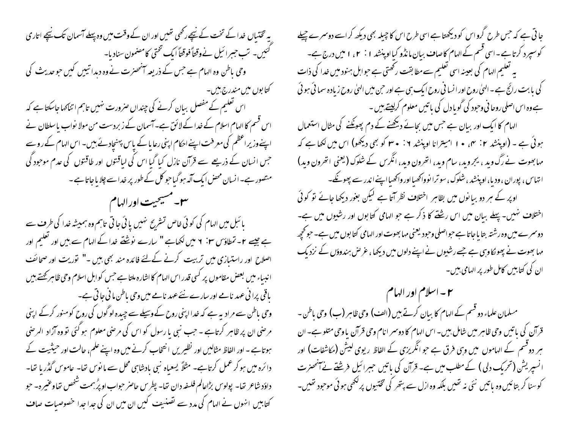یہ تختبال خدا کے تخت کے نیچے رکھی تھیں اور ان کے وقت میں وہ پہلے آسمان تک نیچے اتاری کئیں۔ تب حبیرائیل نےوقتاً فوقتاً ایک تختی کامضمون سنادیا-وحی باطن وہ الہام ہے جس کے ذریعہ انٹھنرت نے وہ دیدا تیبیں کیں حوحدیث کی کتا بوں میں مندرج،پیں۔ اس تعلیم کے مفصل بیان کرنے کی چنداں صرورت نہیں تاہم اتناکہاجاسکتا ہے کہ اس قسم کا الہام اسلام کے خدا کے لائق ہے۔آسمان کے زبردست من مولا نواب پاسلطان نے اپنے وزیر اعظم کی معرفت اپنے احکام اپنی رعایا کے پاس پہنچادئے بیں۔ اس الہام کے روسے جس انسان کے ذریعے سے قرآن نازل کیا گیا اس کی لیاقتوں اور طاقتوں کی عدم موجود گی متصور ہے۔انسان محض ایک آلہ ہو گیا حبو کل کے طور پر خدا سے چلا یا جاتا ہے ۔ **س مسيحيت اورالهام** (**ال**هام بائبل میں الہام کی کوئی خاص تشریح نہیں یا ئی جاتی تاہم وہ ہمیشہ خدا کی طرف سے ہے جیسے ۲۔ تمطاؤس ۲۰: ۲ میں لکھاہے " سارے نوشنے خدا کے الہام سے بیں اور تعلیم اور اصلاح اور راستیازی میں تربیت کرنے کےلئے فائدہ مند بھی بیں -" توریت اور صحائف ا نبساء میں بعض مقاموں پر کسی قدر اس الہام کا اشارہ ملتا ہے جس کو اہل اسلام وحی ظاہر تھتے ہیں باقی پرا فی عہد نامے اور سارے نئے عہد نامے میں وحی باطن ما فی جا تی ہے۔ وحی پاطن سے مرادیہ ہے کہ خدااپنی روح کے وسیلے سے چیدہ لو گوں کی روح کومنور کرکے اپنی مر صنی ان پر ظاہر کرتاہے ۔ حب نبی یا رسول کو اس کی مرحنی معلوم ہو گئی تو وہ آزاد الرحنی ہوتاہے ۔ اور الفاظ مثالیں اور نظیریں انتخاب کرنے میں وہ اپنے علم، حالت اور حیثیت کے دائرہ میں ہو کر عمل کرتاہے۔ مثلاً یسعیاہ نبی بادشاہی محل سے مانوس تھا۔ عاموس گڈر یا تھا۔ داؤد شاعر تھا۔ پولوس بڑاعالم فلسفہ دان تھا۔ پطرس حاصر حواب اوپرُ بہمت شخص تھاوعنیرہ۔ حبو کتابیں انہوں نے الہام کی مدد سے تصنیف کیں ان میں ان کی جدا جدا خصوصیات صاف

جا تی ہے کہ حس طرح گرواس کو دیکھتا ہے اسی طرح اس کا چیلہ بھی دیکھ کر اسے دوسرے چیلے کوسپرد کرتا ہے۔اسی قسم کے الہام کاصاف بیان مانڈو کیااوپنشد ۱ : ۲ ، ۱ میں درج ہے۔ یہ تعلیم الہام کی بعینہ اسی تعلیم سے مطابقت رکھتی ہے حبوابل ہنود میں خدا کی ذات کی یا بت رائج ہے ۔ ایپیٰ روح اور انسا نی روح ایک ہی ہے اور حبن میں ایپیٰ روح زیادہ سمائی ہوئی ٗ ہے وہ اس اصلی روحا فی وحود کی گوبا دل کی باتیں معلوم کرلیتے ہیں ۔ الہام کا ایک اور بیان ہے جس میں بجائے دیکھنے کے دم پھونکنے کی مثال استعمال ہوئی ہے ۔ (اوپنشد ۲: سی • ۱ امیترانا اوپنشد ۲: • ۳ کو بھی دیکھو) اس میں لکھا ہے کہ مہابھوت نے رگ وید ، یجروید، سام وید، انھرون وید، انگرس کے شکوک (یعنی انھرون وید) انتهاس، پوران ، ودیا، او پنشد ، شلوک، سوترا نوواکھیااور واکھیااپنےاندر سے پھونکے۔ اوپر کے ہر دو بیا نوں میں بظاہر اختلاف نظر آتا ہے لیکن بغور دیکھا جائے تو کوئی اختلاف نہیں۔ پہلے بیان میں اس رشنتے کا ذکر ہے جو الہامی کتابوں اور رشیوں میں ہے۔ دوسر سے میں وہ رشتہ بتا پاجاتا ہے حواصلی وحود یعنی مہابھوت اور الہامی کتا بوں میں ہے۔حوکحچھ مہا بھوت نے پھو کاوہی ہے جسے رشیوں نے اپنے دلوں میں دیکھا، غرص ہندوؤں کے نزدیک ان کی کتابیں کامل طور پر الہامی ہیں۔

سم-اسلام اور الهام \_\_ مسلمان علماء دو قسم کے الہام کا بیان کرتے ہیں (الف) وحی ظاہر (ب) وحی باطن -قرآن کی با تیں وحی ظاہر میں شامل بین۔ اس الہام کا دوسمر انام وحی قرآن یا وحی متلو ہے۔ ان ہر دوقسم کے الہاموں میں وہی فرق ہے جو انگریزی کے الفاظ ریوی کیش (مکاشفات) اور انسپریش (تحریک دلی ) کے مطلب میں ہے۔ قرآن کی باتیں حبیرائیل فرشتے نے آنھنرت کوسنا کر بتائیں وہ پاتیں نئی نہ تھیں بلکہ وہ ازل سے پتھر کی تختیوں پرلکھی ہوئی موحود تھیں۔